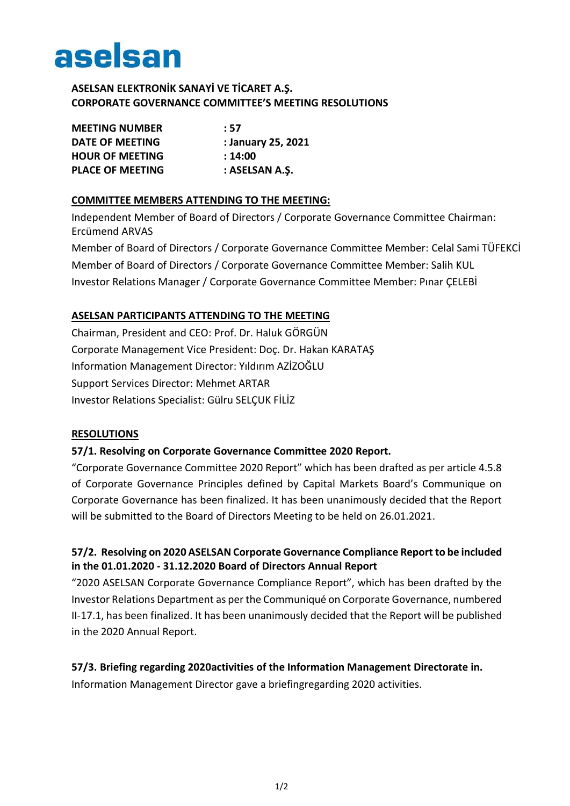

## **ASELSAN ELEKTRONİK SANAYİ VE TİCARET A.Ş. CORPORATE GOVERNANCE COMMITTEE'S MEETING RESOLUTIONS**

| <b>MEETING NUMBER</b>   | : 57               |
|-------------------------|--------------------|
| <b>DATE OF MEETING</b>  | : January 25, 2021 |
| <b>HOUR OF MEETING</b>  | : 14:00            |
| <b>PLACE OF MEETING</b> | : ASELSAN A.Ş.     |

#### **COMMITTEE MEMBERS ATTENDING TO THE MEETING:**

Independent Member of Board of Directors / Corporate Governance Committee Chairman: Ercümend ARVAS

Member of Board of Directors / Corporate Governance Committee Member: Celal Sami TÜFEKCİ Member of Board of Directors / Corporate Governance Committee Member: Salih KUL Investor Relations Manager / Corporate Governance Committee Member: Pınar ÇELEBİ

### **ASELSAN PARTICIPANTS ATTENDING TO THE MEETING**

Chairman, President and CEO: Prof. Dr. Haluk GÖRGÜN Corporate Management Vice President: Doç. Dr. Hakan KARATAŞ Information Management Director: Yıldırım AZİZOĞLU Support Services Director: Mehmet ARTAR Investor Relations Specialist: Gülru SELÇUK FİLİZ

#### **RESOLUTIONS**

#### **57/1. Resolving on Corporate Governance Committee 2020 Report.**

"Corporate Governance Committee 2020 Report" which has been drafted as per article 4.5.8 of Corporate Governance Principles defined by Capital Markets Board's Communique on Corporate Governance has been finalized. It has been unanimously decided that the Report will be submitted to the Board of Directors Meeting to be held on 26.01.2021.

# **57/2. Resolving on 2020 ASELSAN Corporate Governance Compliance Report to be included in the 01.01.2020 - 31.12.2020 Board of Directors Annual Report**

"2020 ASELSAN Corporate Governance Compliance Report", which has been drafted by the Investor Relations Department as per the Communiqué on Corporate Governance, numbered II-17.1, has been finalized. It has been unanimously decided that the Report will be published in the 2020 Annual Report.

#### **57/3. Briefing regarding 2020activities of the Information Management Directorate in.**

Information Management Director gave a briefingregarding 2020 activities.